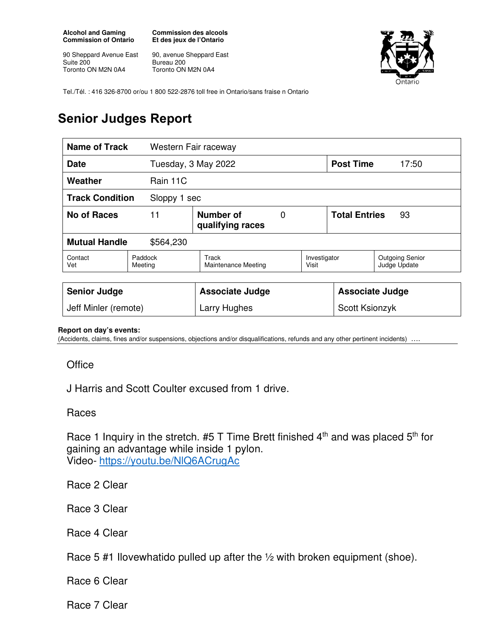**Alcohol and Gaming Commission of Ontario** 

90 Sheppard Avenue East Suite 200 Toronto ON M2N 0A4

**Commission des alcools Et des jeux de l'Ontario** 

90, avenue Sheppard East Bureau 200 Toronto ON M2N 0A4



Tel./Tél. : 416 326-8700 or/ou 1 800 522-2876 toll free in Ontario/sans fraise n Ontario

## **Senior Judges Report**

| <b>Name of Track</b>                   |                    | Western Fair raceway          |   |                        |                            |                                        |
|----------------------------------------|--------------------|-------------------------------|---|------------------------|----------------------------|----------------------------------------|
| Tuesday, 3 May 2022<br><b>Date</b>     |                    |                               |   | <b>Post Time</b>       | 17:50                      |                                        |
| Weather                                | Rain 11C           |                               |   |                        |                            |                                        |
| <b>Track Condition</b><br>Sloppy 1 sec |                    |                               |   |                        |                            |                                        |
| No of Races                            | 11                 | Number of<br>qualifying races | 0 |                        | <b>Total Entries</b><br>93 |                                        |
| <b>Mutual Handle</b><br>\$564,230      |                    |                               |   |                        |                            |                                        |
| Contact<br>Vet                         | Paddock<br>Meeting | Track<br>Maintenance Meeting  |   | Investigator<br>Visit  |                            | <b>Outgoing Senior</b><br>Judge Update |
|                                        |                    |                               |   |                        |                            |                                        |
| <b>Senior Judge</b>                    |                    | <b>Associate Judge</b>        |   | <b>Associate Judge</b> |                            |                                        |
| Jeff Minler (remote)                   |                    | Larry Hughes                  |   | Scott Ksionzyk         |                            |                                        |

## **Report on day's events:**

(Accidents, claims, fines and/or suspensions, objections and/or disqualifications, refunds and any other pertinent incidents) ….

## **Office**

J Harris and Scott Coulter excused from 1 drive.

## Races

Race 1 Inquiry in the stretch.  $#5$  T Time Brett finished  $4<sup>th</sup>$  and was placed  $5<sup>th</sup>$  for gaining an advantage while inside 1 pylon. Video- https://youtu.be/NlQ6ACrugAc

Race 2 Clear

Race 3 Clear

Race 4 Clear

Race 5 #1 Ilovewhatido pulled up after the 1/2 with broken equipment (shoe).

Race 6 Clear

Race 7 Clear